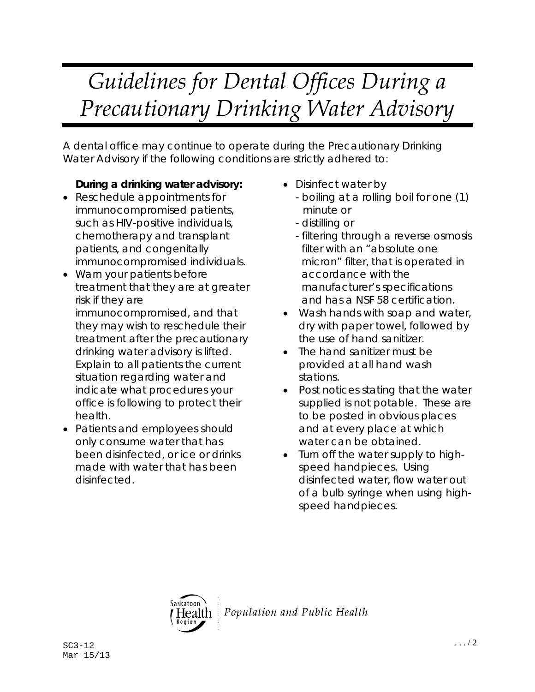## *Guidelines for Dental Offices During a Precautionary Drinking Water Advisory*

A dental office may continue to operate during the Precautionary Drinking Water Advisory if the following conditions are strictly adhered to:

## **During a drinking water advisory:**

- Reschedule appointments for immunocompromised patients, such as HIV-positive individuals, chemotherapy and transplant patients, and congenitally immunocompromised individuals.
- Warn your patients before treatment that they are at greater risk if they are immunocompromised, and that they may wish to reschedule their treatment after the precautionary
	- drinking water advisory is lifted. Explain to all patients the current situation regarding water and indicate what procedures your office is following to protect their health.
- Patients and employees should only consume water that has been disinfected, or ice or drinks made with water that has been disinfected.
- Disinfect water by
	- boiling at a rolling boil for one (1) minute or
	- distilling or
	- filtering through a reverse osmosis filter with an "absolute one micron" filter, that is operated in accordance with the manufacturer's specifications and has a NSF 58 certification.
- Wash hands with soap and water, dry with paper towel, followed by the use of hand sanitizer.
- The hand sanitizer must be provided at all hand wash stations.
- Post notices stating that the water supplied is not potable. These are to be posted in obvious places and at every place at which water can be obtained.
- Turn off the water supply to highspeed handpieces. Using disinfected water, flow water out of a bulb syringe when using highspeed handpieces.